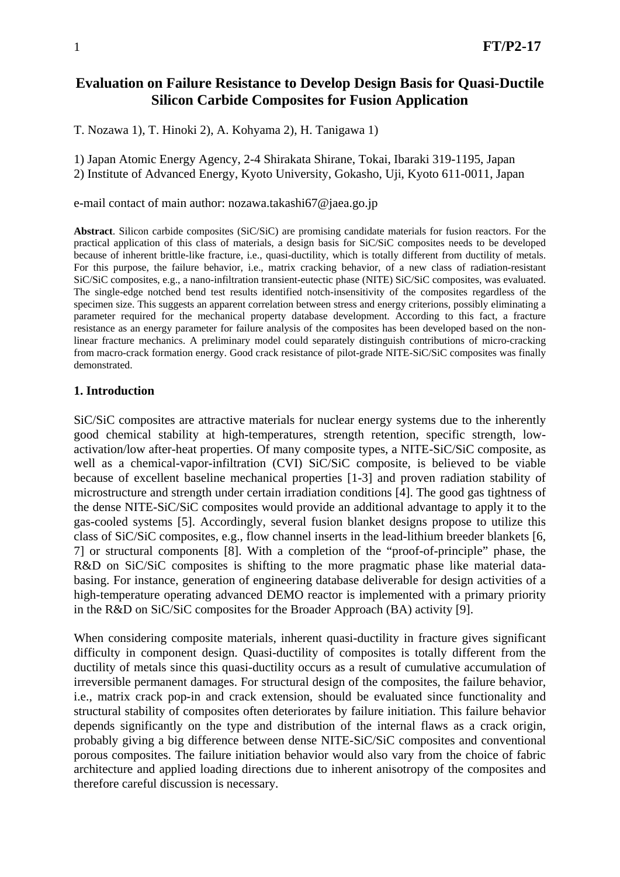# **Evaluation on Failure Resistance to Develop Design Basis for Quasi-Ductile Silicon Carbide Composites for Fusion Application**

T. Nozawa 1), T. Hinoki 2), A. Kohyama 2), H. Tanigawa 1)

1) Japan Atomic Energy Agency, 2-4 Shirakata Shirane, Tokai, Ibaraki 319-1195, Japan 2) Institute of Advanced Energy, Kyoto University, Gokasho, Uji, Kyoto 611-0011, Japan

e-mail contact of main author: nozawa.takashi67@jaea.go.jp

**Abstract**. Silicon carbide composites (SiC/SiC) are promising candidate materials for fusion reactors. For the practical application of this class of materials, a design basis for SiC/SiC composites needs to be developed because of inherent brittle-like fracture, i.e., quasi-ductility, which is totally different from ductility of metals. For this purpose, the failure behavior, i.e., matrix cracking behavior, of a new class of radiation-resistant SiC/SiC composites, e.g., a nano-infiltration transient-eutectic phase (NITE) SiC/SiC composites, was evaluated. The single-edge notched bend test results identified notch-insensitivity of the composites regardless of the specimen size. This suggests an apparent correlation between stress and energy criterions, possibly eliminating a parameter required for the mechanical property database development. According to this fact, a fracture resistance as an energy parameter for failure analysis of the composites has been developed based on the nonlinear fracture mechanics. A preliminary model could separately distinguish contributions of micro-cracking from macro-crack formation energy. Good crack resistance of pilot-grade NITE-SiC/SiC composites was finally demonstrated.

# **1. Introduction**

SiC/SiC composites are attractive materials for nuclear energy systems due to the inherently good chemical stability at high-temperatures, strength retention, specific strength, lowactivation/low after-heat properties. Of many composite types, a NITE-SiC/SiC composite, as well as a chemical-vapor-infiltration (CVI) SiC/SiC composite, is believed to be viable because of excellent baseline mechanical properties [1-3] and proven radiation stability of microstructure and strength under certain irradiation conditions [4]. The good gas tightness of the dense NITE-SiC/SiC composites would provide an additional advantage to apply it to the gas-cooled systems [5]. Accordingly, several fusion blanket designs propose to utilize this class of SiC/SiC composites, e.g., flow channel inserts in the lead-lithium breeder blankets [6, 7] or structural components [8]. With a completion of the "proof-of-principle" phase, the R&D on SiC/SiC composites is shifting to the more pragmatic phase like material databasing. For instance, generation of engineering database deliverable for design activities of a high-temperature operating advanced DEMO reactor is implemented with a primary priority in the R&D on SiC/SiC composites for the Broader Approach (BA) activity [9].

When considering composite materials, inherent quasi-ductility in fracture gives significant difficulty in component design. Quasi-ductility of composites is totally different from the ductility of metals since this quasi-ductility occurs as a result of cumulative accumulation of irreversible permanent damages. For structural design of the composites, the failure behavior, i.e., matrix crack pop-in and crack extension, should be evaluated since functionality and structural stability of composites often deteriorates by failure initiation. This failure behavior depends significantly on the type and distribution of the internal flaws as a crack origin, probably giving a big difference between dense NITE-SiC/SiC composites and conventional porous composites. The failure initiation behavior would also vary from the choice of fabric architecture and applied loading directions due to inherent anisotropy of the composites and therefore careful discussion is necessary.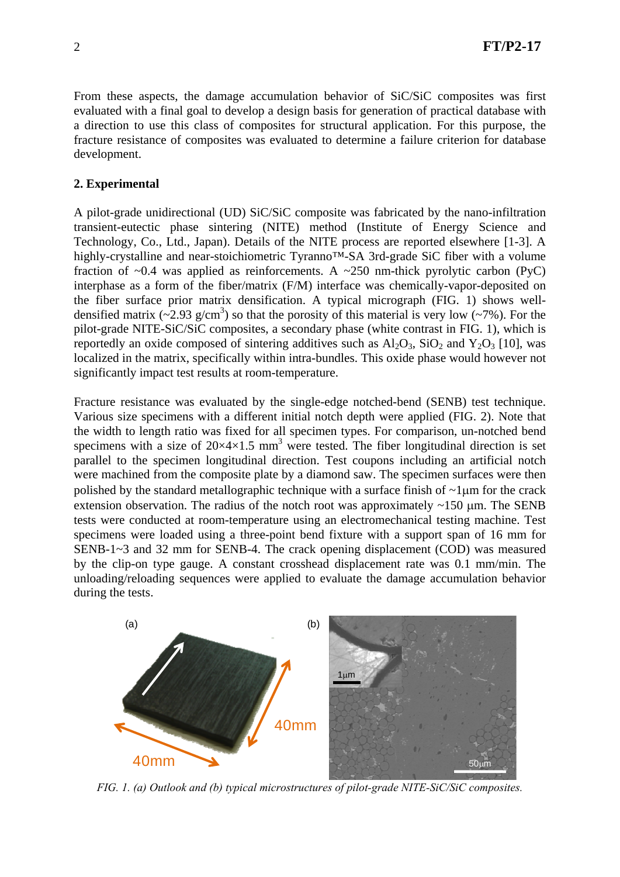From these aspects, the damage accumulation behavior of SiC/SiC composites was first evaluated with a final goal to develop a design basis for generation of practical database with a direction to use this class of composites for structural application. For this purpose, the fracture resistance of composites was evaluated to determine a failure criterion for database development.

# **2. Experimental**

A pilot-grade unidirectional (UD) SiC/SiC composite was fabricated by the nano-infiltration transient-eutectic phase sintering (NITE) method (Institute of Energy Science and Technology, Co., Ltd., Japan). Details of the NITE process are reported elsewhere [1-3]. A highly-crystalline and near-stoichiometric Tyranno™-SA 3rd-grade SiC fiber with a volume fraction of  $\sim 0.4$  was applied as reinforcements. A  $\sim 250$  nm-thick pyrolytic carbon (PyC) interphase as a form of the fiber/matrix (F/M) interface was chemically-vapor-deposited on the fiber surface prior matrix densification. A typical micrograph (FIG. 1) shows welldensified matrix  $(\sim 2.93 \text{ g/cm}^3)$  so that the porosity of this material is very low  $(\sim 7\%)$ . For the pilot-grade NITE-SiC/SiC composites, a secondary phase (white contrast in FIG. 1), which is reportedly an oxide composed of sintering additives such as  $Al_2O_3$ ,  $SiO_2$  and  $Y_2O_3$  [10], was localized in the matrix, specifically within intra-bundles. This oxide phase would however not significantly impact test results at room-temperature.

Fracture resistance was evaluated by the single-edge notched-bend (SENB) test technique. Various size specimens with a different initial notch depth were applied (FIG. 2). Note that the width to length ratio was fixed for all specimen types. For comparison, un-notched bend specimens with a size of  $20 \times 4 \times 1.5$  mm<sup>3</sup> were tested. The fiber longitudinal direction is set parallel to the specimen longitudinal direction. Test coupons including an artificial notch were machined from the composite plate by a diamond saw. The specimen surfaces were then polished by the standard metallographic technique with a surface finish of  $\sim$ 1 $\mu$ m for the crack extension observation. The radius of the notch root was approximately  $\sim$ 150 µm. The SENB tests were conducted at room-temperature using an electromechanical testing machine. Test specimens were loaded using a three-point bend fixture with a support span of 16 mm for SENB-1~3 and 32 mm for SENB-4. The crack opening displacement (COD) was measured by the clip-on type gauge. A constant crosshead displacement rate was 0.1 mm/min. The unloading/reloading sequences were applied to evaluate the damage accumulation behavior during the tests.



*FIG. 1. (a) Outlook and (b) typical microstructures of pilot-grade NITE-SiC/SiC composites.*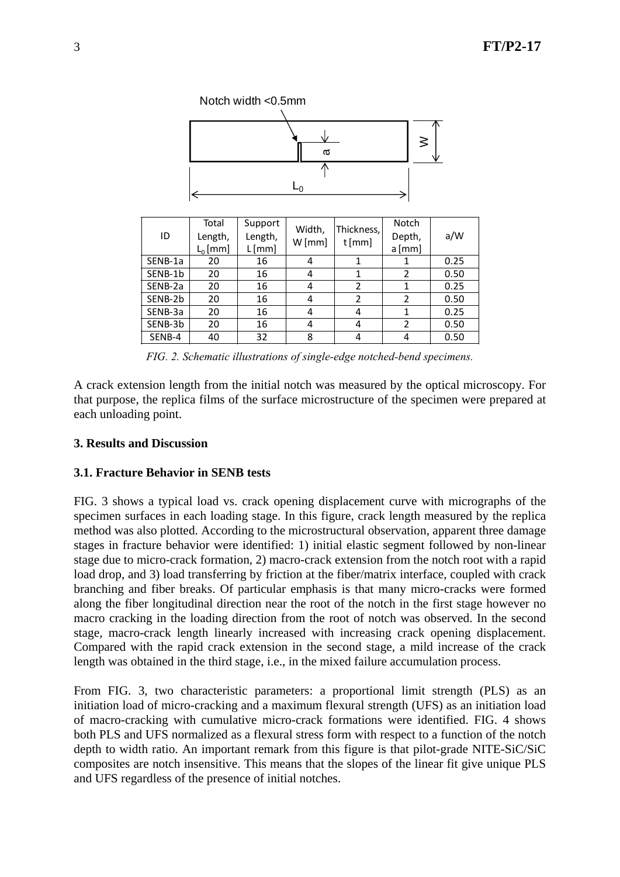

| ID      | Total<br>Length,<br>$L_0$ [mm] | Support<br>Length,<br>L[mm] | Width,<br>$W$ [mm] | Thickness,<br>$t$ [mm] | Notch<br>Depth,<br>$a$ [mm] | a/W  |
|---------|--------------------------------|-----------------------------|--------------------|------------------------|-----------------------------|------|
| SENB-1a | 20                             | 16                          | 4                  |                        |                             | 0.25 |
| SENB-1b | 20                             | 16                          | 4                  |                        | 2                           | 0.50 |
| SENB-2a | 20                             | 16                          | 4                  | 2                      |                             | 0.25 |
| SENB-2b | 20                             | 16                          | 4                  | 2                      | $\overline{2}$              | 0.50 |
| SENB-3a | 20                             | 16                          | 4                  | 4                      |                             | 0.25 |
| SENB-3b | 20                             | 16                          | 4                  | 4                      | $\mathcal{P}$               | 0.50 |
| SENB-4  | 40                             | 32                          | 8                  | 4                      |                             | 0.50 |

*FIG. 2. Schematic illustrations of single-edge notched-bend specimens.* 

A crack extension length from the initial notch was measured by the optical microscopy. For that purpose, the replica films of the surface microstructure of the specimen were prepared at each unloading point.

# **3. Results and Discussion**

## **3.1. Fracture Behavior in SENB tests**

FIG. 3 shows a typical load vs. crack opening displacement curve with micrographs of the specimen surfaces in each loading stage. In this figure, crack length measured by the replica method was also plotted. According to the microstructural observation, apparent three damage stages in fracture behavior were identified: 1) initial elastic segment followed by non-linear stage due to micro-crack formation, 2) macro-crack extension from the notch root with a rapid load drop, and 3) load transferring by friction at the fiber/matrix interface, coupled with crack branching and fiber breaks. Of particular emphasis is that many micro-cracks were formed along the fiber longitudinal direction near the root of the notch in the first stage however no macro cracking in the loading direction from the root of notch was observed. In the second stage, macro-crack length linearly increased with increasing crack opening displacement. Compared with the rapid crack extension in the second stage, a mild increase of the crack length was obtained in the third stage, i.e., in the mixed failure accumulation process.

From FIG. 3, two characteristic parameters: a proportional limit strength (PLS) as an initiation load of micro-cracking and a maximum flexural strength (UFS) as an initiation load of macro-cracking with cumulative micro-crack formations were identified. FIG. 4 shows both PLS and UFS normalized as a flexural stress form with respect to a function of the notch depth to width ratio. An important remark from this figure is that pilot-grade NITE-SiC/SiC composites are notch insensitive. This means that the slopes of the linear fit give unique PLS and UFS regardless of the presence of initial notches.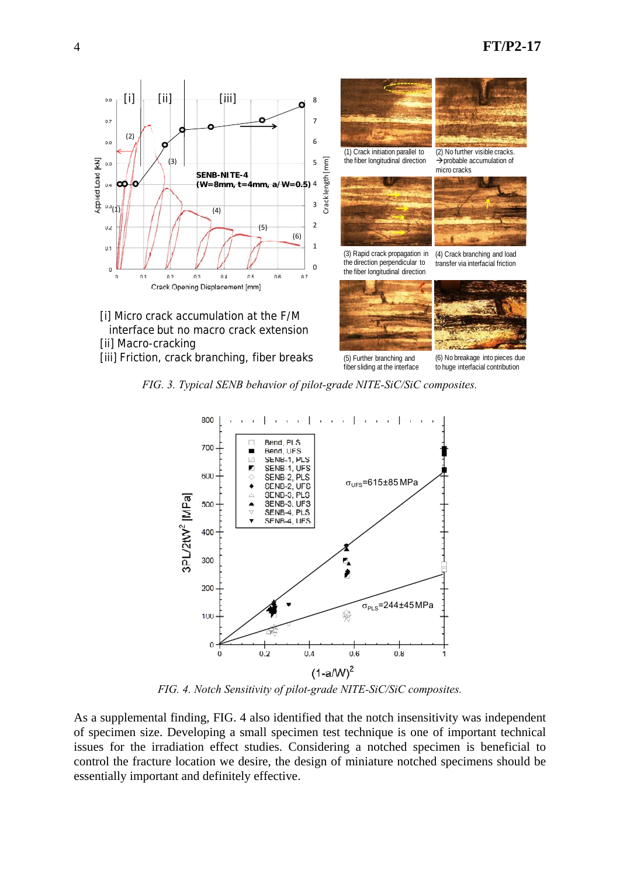

*FIG. 3. Typical SENB behavior of pilot-grade NITE-SiC/SiC composites.* 



*FIG. 4. Notch Sensitivity of pilot-grade NITE-SiC/SiC composites.* 

As a supplemental finding, FIG. 4 also identified that the notch insensitivity was independent of specimen size. Developing a small specimen test technique is one of important technical issues for the irradiation effect studies. Considering a notched specimen is beneficial to control the fracture location we desire, the design of miniature notched specimens should be essentially important and definitely effective.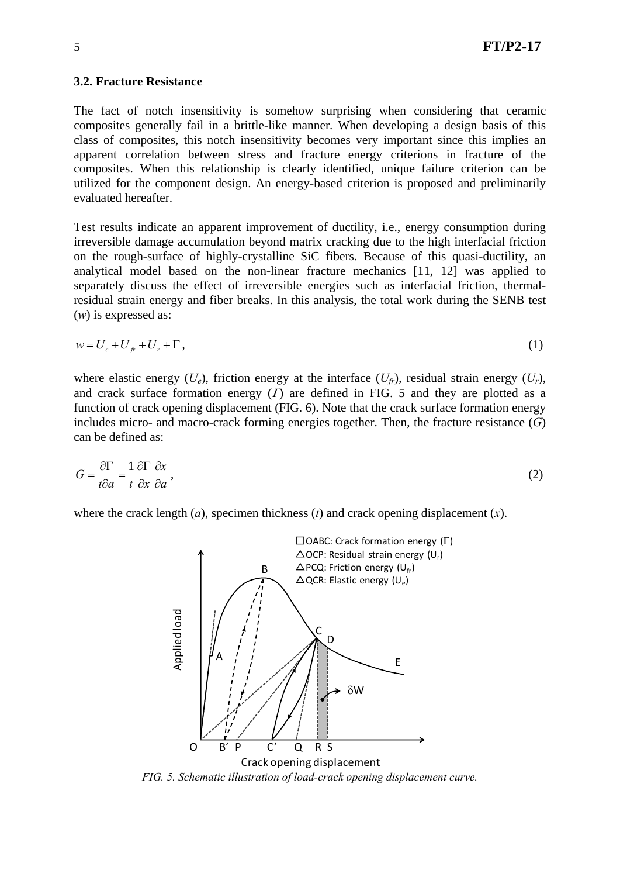#### **3.2. Fracture Resistance**

The fact of notch insensitivity is somehow surprising when considering that ceramic composites generally fail in a brittle-like manner. When developing a design basis of this class of composites, this notch insensitivity becomes very important since this implies an apparent correlation between stress and fracture energy criterions in fracture of the composites. When this relationship is clearly identified, unique failure criterion can be utilized for the component design. An energy-based criterion is proposed and preliminarily evaluated hereafter.

Test results indicate an apparent improvement of ductility, i.e., energy consumption during irreversible damage accumulation beyond matrix cracking due to the high interfacial friction on the rough-surface of highly-crystalline SiC fibers. Because of this quasi-ductility, an analytical model based on the non-linear fracture mechanics [11, 12] was applied to separately discuss the effect of irreversible energies such as interfacial friction, thermalresidual strain energy and fiber breaks. In this analysis, the total work during the SENB test (*w*) is expressed as:

$$
w = U_e + U_f + U_r + \Gamma, \tag{1}
$$

where elastic energy  $(U_e)$ , friction energy at the interface  $(U_f)$ , residual strain energy  $(U_r)$ , and crack surface formation energy  $(T)$  are defined in FIG. 5 and they are plotted as a function of crack opening displacement (FIG. 6). Note that the crack surface formation energy includes micro- and macro-crack forming energies together. Then, the fracture resistance (*G*) can be defined as:

$$
G = \frac{\partial \Gamma}{t \partial a} = \frac{1}{t} \frac{\partial \Gamma}{\partial x} \frac{\partial x}{\partial a},\tag{2}
$$

where the crack length (*a*), specimen thickness (*t*) and crack opening displacement (*x*).



*FIG. 5. Schematic illustration of load-crack opening displacement curve.*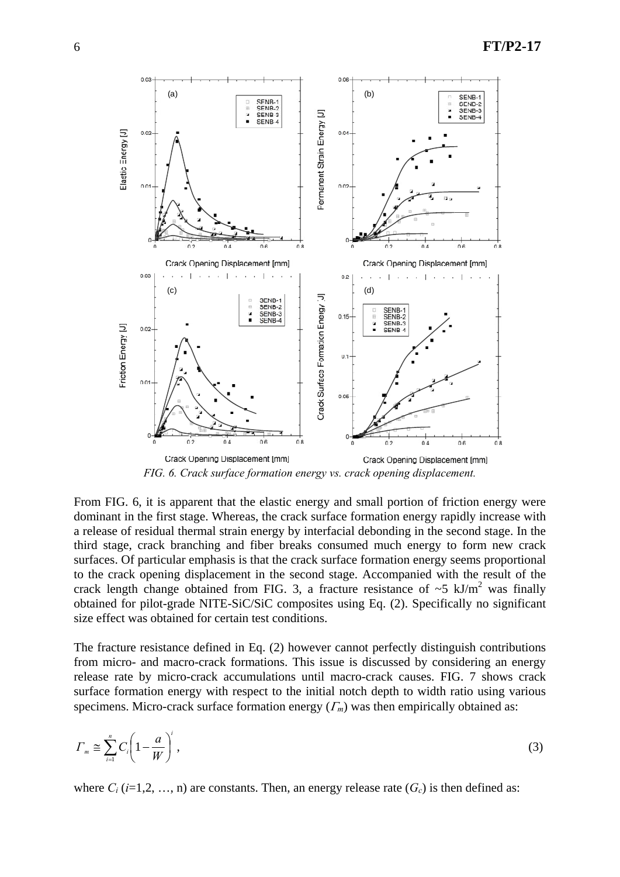

From FIG. 6, it is apparent that the elastic energy and small portion of friction energy were dominant in the first stage. Whereas, the crack surface formation energy rapidly increase with a release of residual thermal strain energy by interfacial debonding in the second stage. In the third stage, crack branching and fiber breaks consumed much energy to form new crack surfaces. Of particular emphasis is that the crack surface formation energy seems proportional to the crack opening displacement in the second stage. Accompanied with the result of the crack length change obtained from FIG. 3, a fracture resistance of  $\sim$  5 kJ/m<sup>2</sup> was finally obtained for pilot-grade NITE-SiC/SiC composites using Eq. (2). Specifically no significant size effect was obtained for certain test conditions.

The fracture resistance defined in Eq. (2) however cannot perfectly distinguish contributions from micro- and macro-crack formations. This issue is discussed by considering an energy release rate by micro-crack accumulations until macro-crack causes. FIG. 7 shows crack surface formation energy with respect to the initial notch depth to width ratio using various specimens. Micro-crack surface formation energy  $(\Gamma_m)$  was then empirically obtained as:

$$
\Gamma_m \cong \sum_{i=1}^n C_i \left( 1 - \frac{a}{W} \right)^i,\tag{3}
$$

where  $C_i$  ( $i=1,2,\ldots,n$ ) are constants. Then, an energy release rate  $(G_c)$  is then defined as: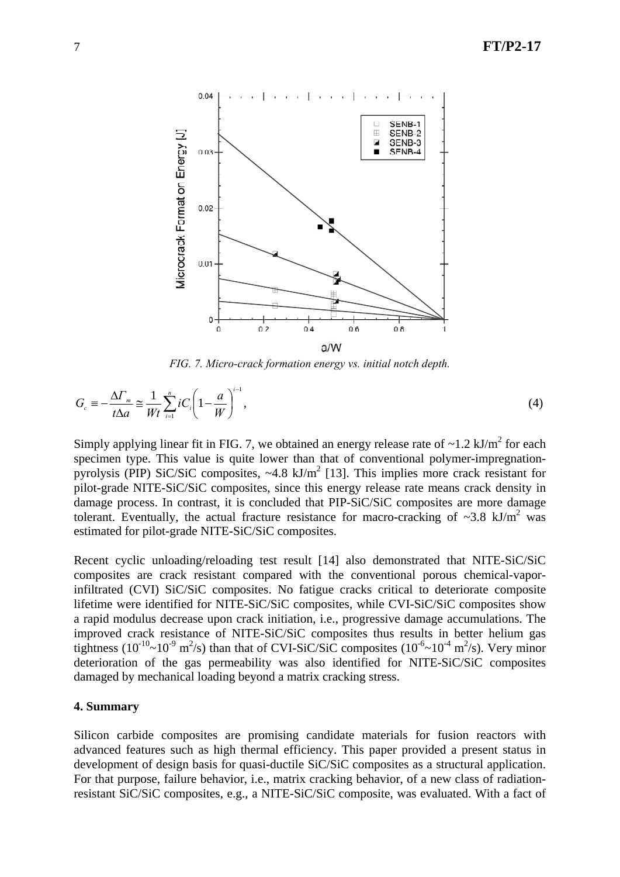

*FIG. 7. Micro-crack formation energy vs. initial notch depth.* 

$$
G_c \equiv -\frac{\Delta \Gamma_m}{t \Delta a} \approx \frac{1}{Wt} \sum_{i=1}^n iC_i \left(1 - \frac{a}{W}\right)^{i-1},\tag{4}
$$

Simply applying linear fit in FIG. 7, we obtained an energy release rate of  $\sim$ 1.2 kJ/m<sup>2</sup> for each specimen type. This value is quite lower than that of conventional polymer-impregnationpyrolysis (PIP) SiC/SiC composites,  $\sim$  4.8 kJ/m<sup>2</sup> [13]. This implies more crack resistant for pilot-grade NITE-SiC/SiC composites, since this energy release rate means crack density in damage process. In contrast, it is concluded that PIP-SiC/SiC composites are more damage tolerant. Eventually, the actual fracture resistance for macro-cracking of  $\sim$ 3.8 kJ/m<sup>2</sup> was estimated for pilot-grade NITE-SiC/SiC composites.

Recent cyclic unloading/reloading test result [14] also demonstrated that NITE-SiC/SiC composites are crack resistant compared with the conventional porous chemical-vaporinfiltrated (CVI) SiC/SiC composites. No fatigue cracks critical to deteriorate composite lifetime were identified for NITE-SiC/SiC composites, while CVI-SiC/SiC composites show a rapid modulus decrease upon crack initiation, i.e., progressive damage accumulations. The improved crack resistance of NITE-SiC/SiC composites thus results in better helium gas tightness (10<sup>-10</sup>~10<sup>-9</sup> m<sup>2</sup>/s) than that of CVI-SiC/SiC composites (10<sup>-6</sup>~10<sup>-4</sup> m<sup>2</sup>/s). Very minor deterioration of the gas permeability was also identified for NITE-SiC/SiC composites damaged by mechanical loading beyond a matrix cracking stress.

### **4. Summary**

Silicon carbide composites are promising candidate materials for fusion reactors with advanced features such as high thermal efficiency. This paper provided a present status in development of design basis for quasi-ductile SiC/SiC composites as a structural application. For that purpose, failure behavior, i.e., matrix cracking behavior, of a new class of radiationresistant SiC/SiC composites, e.g., a NITE-SiC/SiC composite, was evaluated. With a fact of